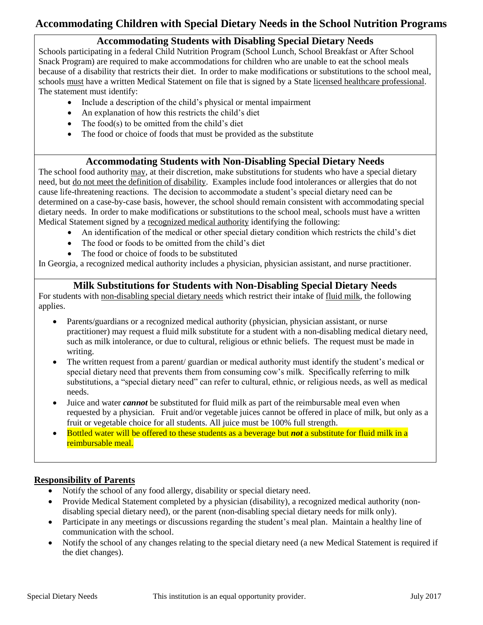# **Accommodating Children with Special Dietary Needs in the School Nutrition Programs**

## **Accommodating Students with Disabling Special Dietary Needs**

Schools participating in a federal Child Nutrition Program (School Lunch, School Breakfast or After School Snack Program) are required to make accommodations for children who are unable to eat the school meals because of a disability that restricts their diet. In order to make modifications or substitutions to the school meal, schools must have a written Medical Statement on file that is signed by a State licensed healthcare professional. The statement must identify:

- Include a description of the child's physical or mental impairment
- An explanation of how this restricts the child's diet
- The food(s) to be omitted from the child's diet
- The food or choice of foods that must be provided as the substitute

## **Accommodating Students with Non-Disabling Special Dietary Needs**

The school food authority may, at their discretion, make substitutions for students who have a special dietary need, but do not meet the definition of disability. Examples include food intolerances or allergies that do not cause life-threatening reactions. The decision to accommodate a student's special dietary need can be determined on a case-by-case basis, however, the school should remain consistent with accommodating special dietary needs. In order to make modifications or substitutions to the school meal, schools must have a written Medical Statement signed by a recognized medical authority identifying the following:

- An identification of the medical or other special dietary condition which restricts the child's diet
- The food or foods to be omitted from the child's diet
- The food or choice of foods to be substituted

In Georgia, a recognized medical authority includes a physician, physician assistant, and nurse practitioner.

## **Milk Substitutions for Students with Non-Disabling Special Dietary Needs**

For students with non-disabling special dietary needs which restrict their intake of fluid milk, the following applies.

- Parents/guardians or a recognized medical authority (physician, physician assistant, or nurse practitioner) may request a fluid milk substitute for a student with a non-disabling medical dietary need, such as milk intolerance, or due to cultural, religious or ethnic beliefs. The request must be made in writing.
- The written request from a parent/ guardian or medical authority must identify the student's medical or special dietary need that prevents them from consuming cow's milk. Specifically referring to milk substitutions, a "special dietary need" can refer to cultural, ethnic, or religious needs, as well as medical needs.
- Juice and water *cannot* be substituted for fluid milk as part of the reimbursable meal even when requested by a physician. Fruit and/or vegetable juices cannot be offered in place of milk, but only as a fruit or vegetable choice for all students. All juice must be 100% full strength.
- Bottled water will be offered to these students as a beverage but *not* a substitute for fluid milk in a reimbursable meal.

#### **Responsibility of Parents**

- Notify the school of any food allergy, disability or special dietary need.
- Provide Medical Statement completed by a physician (disability), a recognized medical authority (nondisabling special dietary need), or the parent (non-disabling special dietary needs for milk only).
- Participate in any meetings or discussions regarding the student's meal plan. Maintain a healthy line of communication with the school.
- Notify the school of any changes relating to the special dietary need (a new Medical Statement is required if the diet changes).